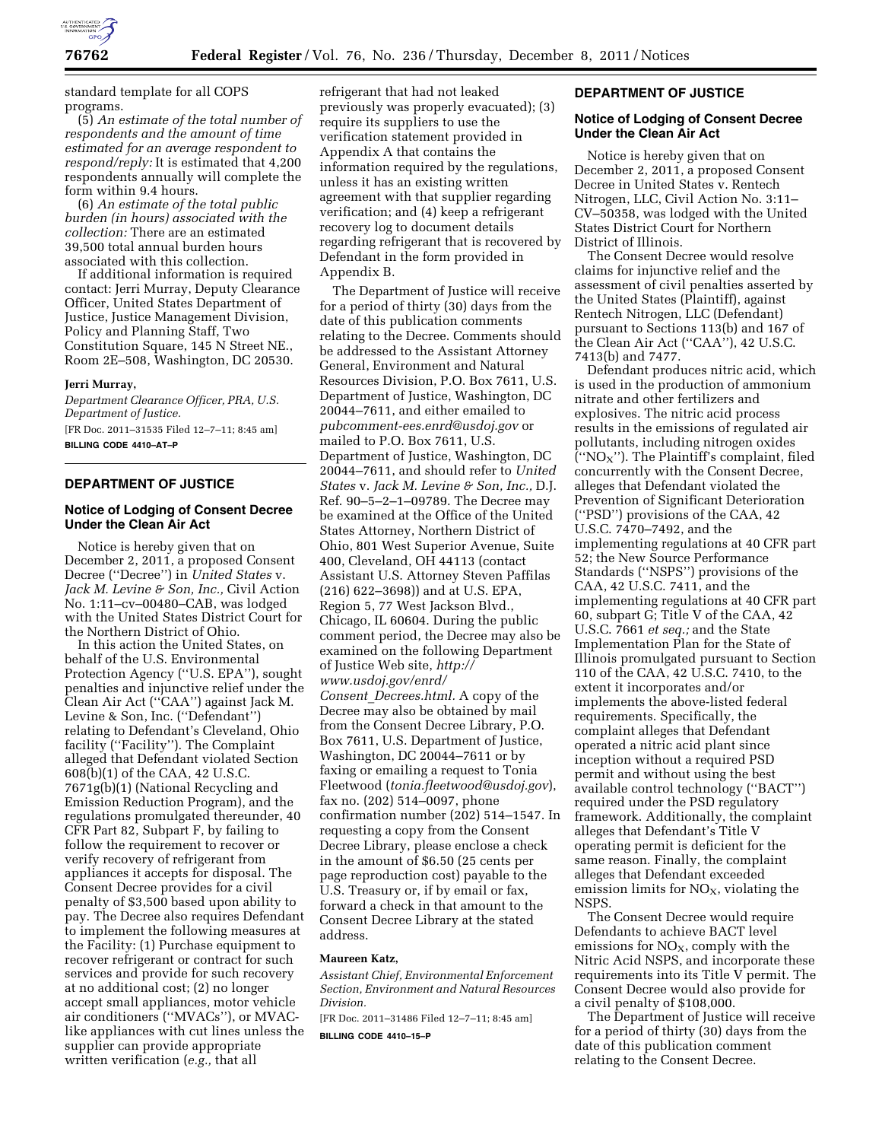

standard template for all COPS programs.

(5) *An estimate of the total number of respondents and the amount of time estimated for an average respondent to respond/reply:* It is estimated that 4,200 respondents annually will complete the form within 9.4 hours.

(6) *An estimate of the total public burden (in hours) associated with the collection:* There are an estimated 39,500 total annual burden hours associated with this collection.

If additional information is required contact: Jerri Murray, Deputy Clearance Officer, United States Department of Justice, Justice Management Division, Policy and Planning Staff, Two Constitution Square, 145 N Street NE., Room 2E–508, Washington, DC 20530.

### **Jerri Murray,**

*Department Clearance Officer, PRA, U.S. Department of Justice.*  [FR Doc. 2011–31535 Filed 12–7–11; 8:45 am] **BILLING CODE 4410–AT–P** 

# **DEPARTMENT OF JUSTICE**

## **Notice of Lodging of Consent Decree Under the Clean Air Act**

Notice is hereby given that on December 2, 2011, a proposed Consent Decree (''Decree'') in *United States* v. *Jack M. Levine & Son, Inc.,* Civil Action No. 1:11–cv–00480–CAB, was lodged with the United States District Court for the Northern District of Ohio.

In this action the United States, on behalf of the U.S. Environmental Protection Agency (''U.S. EPA''), sought penalties and injunctive relief under the Clean Air Act (''CAA'') against Jack M. Levine & Son, Inc. (''Defendant'') relating to Defendant's Cleveland, Ohio facility (''Facility''). The Complaint alleged that Defendant violated Section 608(b)(1) of the CAA, 42 U.S.C. 7671g(b)(1) (National Recycling and Emission Reduction Program), and the regulations promulgated thereunder, 40 CFR Part 82, Subpart F, by failing to follow the requirement to recover or verify recovery of refrigerant from appliances it accepts for disposal. The Consent Decree provides for a civil penalty of \$3,500 based upon ability to pay. The Decree also requires Defendant to implement the following measures at the Facility: (1) Purchase equipment to recover refrigerant or contract for such services and provide for such recovery at no additional cost; (2) no longer accept small appliances, motor vehicle air conditioners (''MVACs''), or MVAClike appliances with cut lines unless the supplier can provide appropriate written verification (*e.g.,* that all

refrigerant that had not leaked previously was properly evacuated); (3) require its suppliers to use the verification statement provided in Appendix A that contains the information required by the regulations, unless it has an existing written agreement with that supplier regarding verification; and (4) keep a refrigerant recovery log to document details regarding refrigerant that is recovered by Defendant in the form provided in Appendix B.

The Department of Justice will receive for a period of thirty (30) days from the date of this publication comments relating to the Decree. Comments should be addressed to the Assistant Attorney General, Environment and Natural Resources Division, P.O. Box 7611, U.S. Department of Justice, Washington, DC 20044–7611, and either emailed to *[pubcomment-ees.enrd@usdoj.gov](mailto:pubcomment-ees.enrd@usdoj.gov)* or mailed to P.O. Box 7611, U.S. Department of Justice, Washington, DC 20044–7611, and should refer to *United States* v. *Jack M. Levine & Son, Inc.,* D.J. Ref. 90–5–2–1–09789. The Decree may be examined at the Office of the United States Attorney, Northern District of Ohio, 801 West Superior Avenue, Suite 400, Cleveland, OH 44113 (contact Assistant U.S. Attorney Steven Paffilas (216) 622–3698)) and at U.S. EPA, Region 5, 77 West Jackson Blvd., Chicago, IL 60604. During the public comment period, the Decree may also be examined on the following Department of Justice Web site, *[http://](http://www.usdoj.gov/enrd/Consent_Decrees.html) [www.usdoj.gov/enrd/](http://www.usdoj.gov/enrd/Consent_Decrees.html) Consent*\_*[Decrees.html.](http://www.usdoj.gov/enrd/Consent_Decrees.html)* A copy of the Decree may also be obtained by mail from the Consent Decree Library, P.O. Box 7611, U.S. Department of Justice, Washington, DC 20044–7611 or by faxing or emailing a request to Tonia Fleetwood (*[tonia.fleetwood@usdoj.gov](mailto:tonia.fleetwood@usdoj.gov)*), fax no. (202) 514–0097, phone confirmation number (202) 514–1547. In requesting a copy from the Consent Decree Library, please enclose a check in the amount of \$6.50 (25 cents per page reproduction cost) payable to the U.S. Treasury or, if by email or fax, forward a check in that amount to the Consent Decree Library at the stated address.

## **Maureen Katz,**

*Assistant Chief, Environmental Enforcement Section, Environment and Natural Resources Division.* 

[FR Doc. 2011–31486 Filed 12–7–11; 8:45 am]

**BILLING CODE 4410–15–P** 

## **DEPARTMENT OF JUSTICE**

### **Notice of Lodging of Consent Decree Under the Clean Air Act**

Notice is hereby given that on December 2, 2011, a proposed Consent Decree in United States v. Rentech Nitrogen, LLC, Civil Action No. 3:11– CV–50358, was lodged with the United States District Court for Northern District of Illinois.

The Consent Decree would resolve claims for injunctive relief and the assessment of civil penalties asserted by the United States (Plaintiff), against Rentech Nitrogen, LLC (Defendant) pursuant to Sections 113(b) and 167 of the Clean Air Act (''CAA''), 42 U.S.C. 7413(b) and 7477.

Defendant produces nitric acid, which is used in the production of ammonium nitrate and other fertilizers and explosives. The nitric acid process results in the emissions of regulated air pollutants, including nitrogen oxides (" $NO<sub>X</sub>$ "). The Plaintiff's complaint, filed concurrently with the Consent Decree, alleges that Defendant violated the Prevention of Significant Deterioration (''PSD'') provisions of the CAA, 42 U.S.C. 7470–7492, and the implementing regulations at 40 CFR part 52; the New Source Performance Standards (''NSPS'') provisions of the CAA, 42 U.S.C. 7411, and the implementing regulations at 40 CFR part 60, subpart G; Title V of the CAA, 42 U.S.C. 7661 *et seq.;* and the State Implementation Plan for the State of Illinois promulgated pursuant to Section 110 of the CAA, 42 U.S.C. 7410, to the extent it incorporates and/or implements the above-listed federal requirements. Specifically, the complaint alleges that Defendant operated a nitric acid plant since inception without a required PSD permit and without using the best available control technology (''BACT'') required under the PSD regulatory framework. Additionally, the complaint alleges that Defendant's Title V operating permit is deficient for the same reason. Finally, the complaint alleges that Defendant exceeded emission limits for  $NO<sub>x</sub>$ , violating the NSPS.

The Consent Decree would require Defendants to achieve BACT level emissions for  $NO<sub>X</sub>$ , comply with the Nitric Acid NSPS, and incorporate these requirements into its Title V permit. The Consent Decree would also provide for a civil penalty of \$108,000.

The Department of Justice will receive for a period of thirty (30) days from the date of this publication comment relating to the Consent Decree.